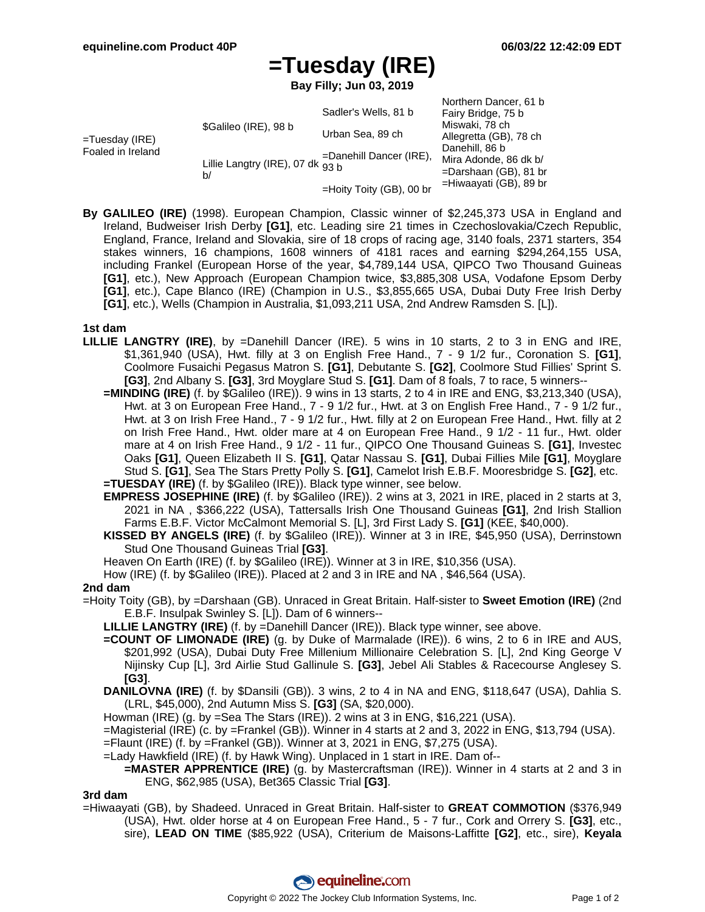# **=Tuesday (IRE)**

**Bay Filly; Jun 03, 2019**

|                                        |                                         |                            | Northern Dancer, 61 b    |
|----------------------------------------|-----------------------------------------|----------------------------|--------------------------|
| $=$ Tuesday (IRE)<br>Foaled in Ireland | \$Galileo (IRE), 98 b                   | Sadler's Wells, 81 b       | Fairy Bridge, 75 b       |
|                                        |                                         | Urban Sea, 89 ch           | Miswaki, 78 ch           |
|                                        |                                         |                            | Allegretta (GB), 78 ch   |
|                                        | Lillie Langtry (IRE), 07 dk $93b$<br>b/ | $=$ Danehill Dancer (IRE), | Danehill, 86 b           |
|                                        |                                         |                            | Mira Adonde, 86 dk b/    |
|                                        |                                         |                            | $=$ Darshaan (GB), 81 br |
|                                        |                                         | =Hoity Toity (GB), 00 br   | =Hiwaayati (GB), 89 br   |
|                                        |                                         |                            |                          |

**By GALILEO (IRE)** (1998). European Champion, Classic winner of \$2,245,373 USA in England and Ireland, Budweiser Irish Derby **[G1]**, etc. Leading sire 21 times in Czechoslovakia/Czech Republic, England, France, Ireland and Slovakia, sire of 18 crops of racing age, 3140 foals, 2371 starters, 354 stakes winners, 16 champions, 1608 winners of 4181 races and earning \$294,264,155 USA, including Frankel (European Horse of the year, \$4,789,144 USA, QIPCO Two Thousand Guineas **[G1]**, etc.), New Approach (European Champion twice, \$3,885,308 USA, Vodafone Epsom Derby **[G1]**, etc.), Cape Blanco (IRE) (Champion in U.S., \$3,855,665 USA, Dubai Duty Free Irish Derby **[G1]**, etc.), Wells (Champion in Australia, \$1,093,211 USA, 2nd Andrew Ramsden S. [L]).

### **1st dam**

- **LILLIE LANGTRY (IRE)**, by =Danehill Dancer (IRE). 5 wins in 10 starts, 2 to 3 in ENG and IRE, \$1,361,940 (USA), Hwt. filly at 3 on English Free Hand., 7 - 9 1/2 fur., Coronation S. **[G1]**, Coolmore Fusaichi Pegasus Matron S. **[G1]**, Debutante S. **[G2]**, Coolmore Stud Fillies' Sprint S. **[G3]**, 2nd Albany S. **[G3]**, 3rd Moyglare Stud S. **[G1]**. Dam of 8 foals, 7 to race, 5 winners--
	- **=MINDING (IRE)** (f. by \$Galileo (IRE)). 9 wins in 13 starts, 2 to 4 in IRE and ENG, \$3,213,340 (USA), Hwt. at 3 on European Free Hand., 7 - 9 1/2 fur., Hwt. at 3 on English Free Hand., 7 - 9 1/2 fur., Hwt. at 3 on Irish Free Hand., 7 - 9 1/2 fur., Hwt. filly at 2 on European Free Hand., Hwt. filly at 2 on Irish Free Hand., Hwt. older mare at 4 on European Free Hand., 9 1/2 - 11 fur., Hwt. older mare at 4 on Irish Free Hand., 9 1/2 - 11 fur., QIPCO One Thousand Guineas S. **[G1]**, Investec Oaks **[G1]**, Queen Elizabeth II S. **[G1]**, Qatar Nassau S. **[G1]**, Dubai Fillies Mile **[G1]**, Moyglare Stud S. **[G1]**, Sea The Stars Pretty Polly S. **[G1]**, Camelot Irish E.B.F. Mooresbridge S. **[G2]**, etc. **=TUESDAY (IRE)** (f. by \$Galileo (IRE)). Black type winner, see below.
	- **EMPRESS JOSEPHINE (IRE)** (f. by \$Galileo (IRE)). 2 wins at 3, 2021 in IRE, placed in 2 starts at 3, 2021 in NA , \$366,222 (USA), Tattersalls Irish One Thousand Guineas **[G1]**, 2nd Irish Stallion Farms E.B.F. Victor McCalmont Memorial S. [L], 3rd First Lady S. **[G1]** (KEE, \$40,000).
	- **KISSED BY ANGELS (IRE)** (f. by \$Galileo (IRE)). Winner at 3 in IRE, \$45,950 (USA), Derrinstown Stud One Thousand Guineas Trial **[G3]**.
	- Heaven On Earth (IRE) (f. by \$Galileo (IRE)). Winner at 3 in IRE, \$10,356 (USA).
	- How (IRE) (f. by \$Galileo (IRE)). Placed at 2 and 3 in IRE and NA , \$46,564 (USA).

# **2nd dam**

- =Hoity Toity (GB), by =Darshaan (GB). Unraced in Great Britain. Half-sister to **Sweet Emotion (IRE)** (2nd E.B.F. Insulpak Swinley S. [L]). Dam of 6 winners--
	- **LILLIE LANGTRY (IRE)** (f. by =Danehill Dancer (IRE)). Black type winner, see above.
	- **=COUNT OF LIMONADE (IRE)** (g. by Duke of Marmalade (IRE)). 6 wins, 2 to 6 in IRE and AUS, \$201,992 (USA), Dubai Duty Free Millenium Millionaire Celebration S. [L], 2nd King George V Nijinsky Cup [L], 3rd Airlie Stud Gallinule S. **[G3]**, Jebel Ali Stables & Racecourse Anglesey S. **[G3]**.
	- **DANILOVNA (IRE)** (f. by \$Dansili (GB)). 3 wins, 2 to 4 in NA and ENG, \$118,647 (USA), Dahlia S. (LRL, \$45,000), 2nd Autumn Miss S. **[G3]** (SA, \$20,000).
	- Howman (IRE) (g. by =Sea The Stars (IRE)). 2 wins at 3 in ENG, \$16,221 (USA).
	- =Magisterial (IRE) (c. by =Frankel (GB)). Winner in 4 starts at 2 and 3, 2022 in ENG, \$13,794 (USA).
	- =Flaunt (IRE) (f. by =Frankel (GB)). Winner at 3, 2021 in ENG, \$7,275 (USA).
	- =Lady Hawkfield (IRE) (f. by Hawk Wing). Unplaced in 1 start in IRE. Dam of--

# **=MASTER APPRENTICE (IRE)** (g. by Mastercraftsman (IRE)). Winner in 4 starts at 2 and 3 in ENG, \$62,985 (USA), Bet365 Classic Trial **[G3]**.

#### **3rd dam**

=Hiwaayati (GB), by Shadeed. Unraced in Great Britain. Half-sister to **GREAT COMMOTION** (\$376,949 (USA), Hwt. older horse at 4 on European Free Hand., 5 - 7 fur., Cork and Orrery S. **[G3]**, etc., sire), **LEAD ON TIME** (\$85,922 (USA), Criterium de Maisons-Laffitte **[G2]**, etc., sire), **Keyala**